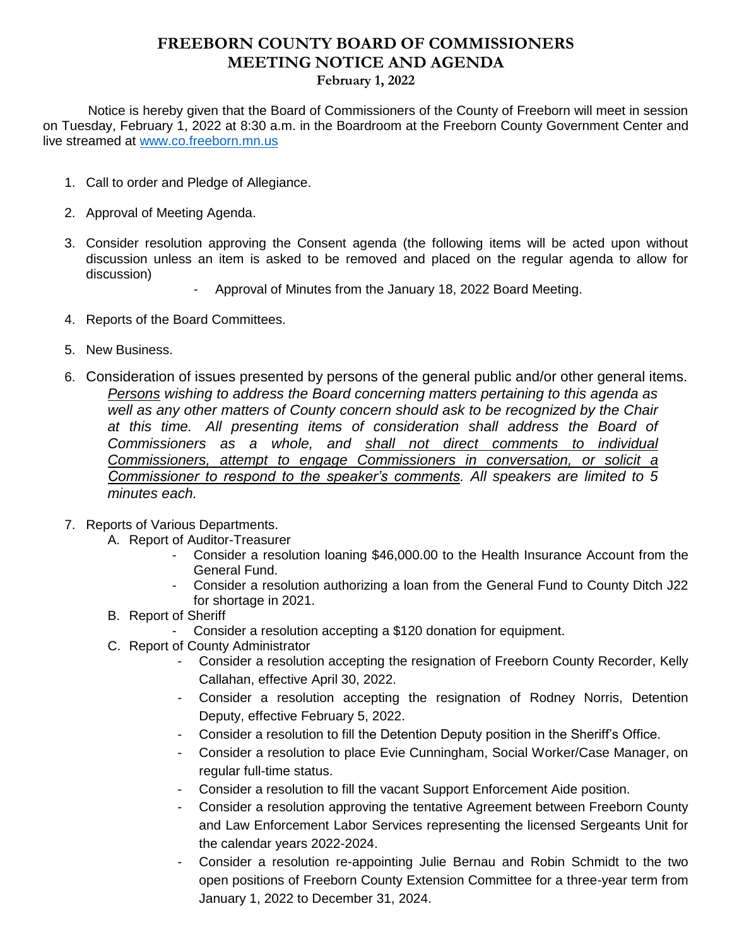## **FREEBORN COUNTY BOARD OF COMMISSIONERS MEETING NOTICE AND AGENDA February 1, 2022**

 Notice is hereby given that the Board of Commissioners of the County of Freeborn will meet in session on Tuesday, February 1, 2022 at 8:30 a.m. in the Boardroom at the Freeborn County Government Center and live streamed at [www.co.freeborn.mn.us](http://www.co.freeborn.mn.us/) 

- 1. Call to order and Pledge of Allegiance.
- 2. Approval of Meeting Agenda.
- 3. Consider resolution approving the Consent agenda (the following items will be acted upon without discussion unless an item is asked to be removed and placed on the regular agenda to allow for discussion)
	- Approval of Minutes from the January 18, 2022 Board Meeting.
- 4. Reports of the Board Committees.
- 5. New Business.
- 6. Consideration of issues presented by persons of the general public and/or other general items. *Persons wishing to address the Board concerning matters pertaining to this agenda as*  well as any other matters of County concern should ask to be recognized by the Chair *at this time. All presenting items of consideration shall address the Board of Commissioners as a whole, and shall not direct comments to individual Commissioners, attempt to engage Commissioners in conversation, or solicit a Commissioner to respond to the speaker's comments. All speakers are limited to 5 minutes each.*
- 7. Reports of Various Departments.
	- A. Report of Auditor-Treasurer
		- Consider a resolution loaning \$46,000.00 to the Health Insurance Account from the General Fund.
		- Consider a resolution authorizing a loan from the General Fund to County Ditch J22 for shortage in 2021.
	- B. Report of Sheriff
		- Consider a resolution accepting a \$120 donation for equipment.
	- C. Report of County Administrator
		- Consider a resolution accepting the resignation of Freeborn County Recorder, Kelly Callahan, effective April 30, 2022.
		- Consider a resolution accepting the resignation of Rodney Norris, Detention Deputy, effective February 5, 2022.
		- Consider a resolution to fill the Detention Deputy position in the Sheriff's Office.
		- Consider a resolution to place Evie Cunningham, Social Worker/Case Manager, on regular full-time status.
		- Consider a resolution to fill the vacant Support Enforcement Aide position.
		- Consider a resolution approving the tentative Agreement between Freeborn County and Law Enforcement Labor Services representing the licensed Sergeants Unit for the calendar years 2022-2024.
		- Consider a resolution re-appointing Julie Bernau and Robin Schmidt to the two open positions of Freeborn County Extension Committee for a three-year term from January 1, 2022 to December 31, 2024.